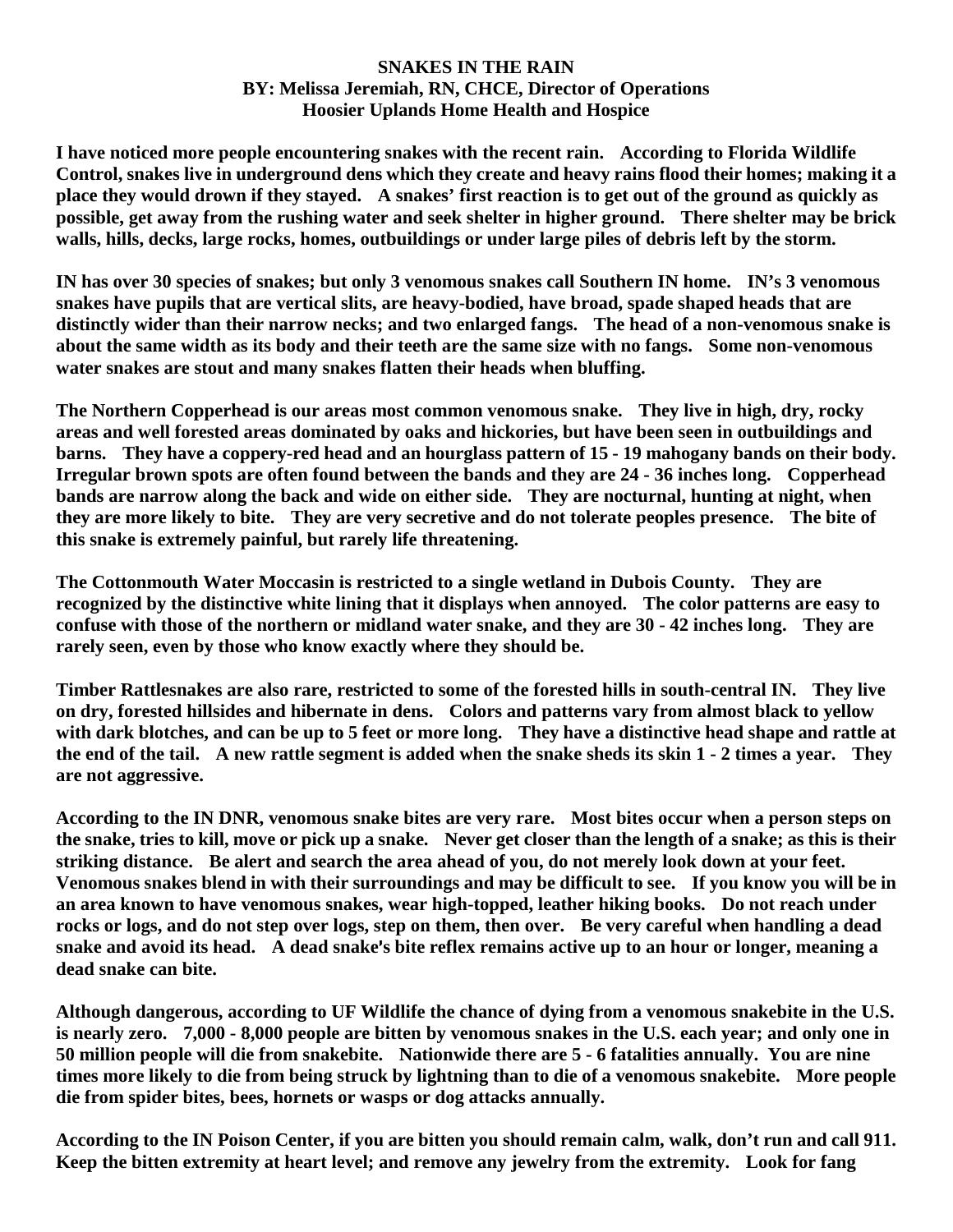## **SNAKES IN THE RAIN BY: Melissa Jeremiah, RN, CHCE, Director of Operations Hoosier Uplands Home Health and Hospice**

**I have noticed more people encountering snakes with the recent rain. According to Florida Wildlife Control, snakes live in underground dens which they create and heavy rains flood their homes; making it a place they would drown if they stayed. A snakes' first reaction is to get out of the ground as quickly as possible, get away from the rushing water and seek shelter in higher ground. There shelter may be brick walls, hills, decks, large rocks, homes, outbuildings or under large piles of debris left by the storm.** 

**IN has over 30 species of snakes; but only 3 venomous snakes call Southern IN home. IN's 3 venomous snakes have pupils that are vertical slits, are heavy-bodied, have broad, spade shaped heads that are distinctly wider than their narrow necks; and two enlarged fangs. The head of a non-venomous snake is about the same width as its body and their teeth are the same size with no fangs. Some non-venomous water snakes are stout and many snakes flatten their heads when bluffing.** 

**The Northern Copperhead is our areas most common venomous snake. They live in high, dry, rocky areas and well forested areas dominated by oaks and hickories, but have been seen in outbuildings and barns. They have a coppery-red head and an hourglass pattern of 15 - 19 mahogany bands on their body. Irregular brown spots are often found between the bands and they are 24 - 36 inches long. Copperhead bands are narrow along the back and wide on either side. They are nocturnal, hunting at night, when they are more likely to bite. They are very secretive and do not tolerate peoples presence. The bite of this snake is extremely painful, but rarely life threatening.**

**The Cottonmouth Water Moccasin is restricted to a single wetland in Dubois County. They are recognized by the distinctive white lining that it displays when annoyed. The color patterns are easy to confuse with those of the northern or midland water snake, and they are 30 - 42 inches long. They are rarely seen, even by those who know exactly where they should be.** 

**Timber Rattlesnakes are also rare, restricted to some of the forested hills in south-central IN. They live on dry, forested hillsides and hibernate in dens. Colors and patterns vary from almost black to yellow with dark blotches, and can be up to 5 feet or more long. They have a distinctive head shape and rattle at the end of the tail. A new rattle segment is added when the snake sheds its skin 1 - 2 times a year. They are not aggressive.**

**According to the IN DNR, venomous snake bites are very rare. Most bites occur when a person steps on the snake, tries to kill, move or pick up a snake. Never get closer than the length of a snake; as this is their striking distance. Be alert and search the area ahead of you, do not merely look down at your feet. Venomous snakes blend in with their surroundings and may be difficult to see. If you know you will be in an area known to have venomous snakes, wear high-topped, leather hiking books. Do not reach under rocks or logs, and do not step over logs, step on them, then over. Be very careful when handling a dead**  snake and avoid its head. A dead snake's bite reflex remains active up to an hour or longer, meaning a **dead snake can bite.** 

**Although dangerous, according to UF Wildlife the chance of dying from a venomous snakebite in the U.S. is nearly zero. 7,000 - 8,000 people are bitten by venomous snakes in the U.S. each year; and only one in 50 million people will die from snakebite. Nationwide there are 5 - 6 fatalities annually. You are nine times more likely to die from being struck by lightning than to die of a venomous snakebite. More people die from spider bites, bees, hornets or wasps or dog attacks annually.** 

**According to the IN Poison Center, if you are bitten you should remain calm, walk, don't run and call 911. Keep the bitten extremity at heart level; and remove any jewelry from the extremity. Look for fang**